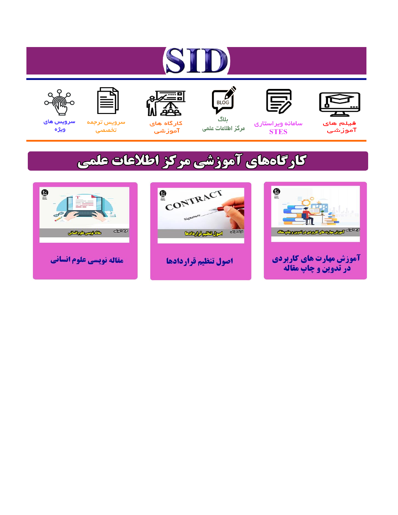# ST











ىلاگ



مرکز اطلاعات علمی

 $\frac{1}{\sqrt{\frac{1}{100}}}$ 

Cologie Legislation

کارگاه های آموزشي

空

ققق

 $\begin{matrix} \textcircled{\footnotesize{A}}\\ \textcircled{\footnotesize{B}} \end{matrix}$ 

سرويس ترجمه تخصصى



سرویس های ويژه

كارگاههای آموزشی مركز اطلاعات علمی

CONTRACT

اصول تنظيم قراردادها



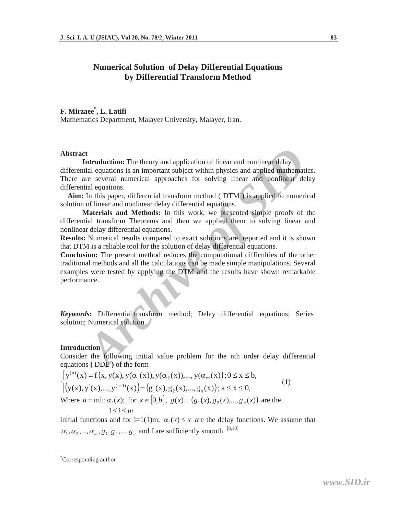# **Numerical Solution of Delay Differential Equations by Differential Transform Method**

# **F. Mirzaee\* , L. Latifi**

Mathematics Department, Malayer University, Malayer, Iran.

### **Abstract**

**Example 12**<br> **Archive of the sum of the sum of the standard and the standard discussion is an important subject within physics and application are several numerical approaches for solving linear and nonlinear de tial equa Introduction:** The theory and application of linear and nonlinear delay differential equations is an important subject within physics and applied mathematics. There are several numerical approaches for solving linear and nonlinear delay differential equations.

 **Aim:** In this paper, differential transform method ( DTM ) is applied to numerical solution of linear and nonlinear delay differential equations.

**Materials and Methods:** In this work, we presented simple proofs of the differential transform Theorems and then we applied them to solving linear and nonlinear delay differential equations.

**Results:** Numerical results compared to exact solutions are reported and it is shown that DTM is a reliable tool for the solution of delay differential equations.

**Conclusion:** The present method reduces the computational difficulties of the other traditional methods and all the calculations can be made simple manipulations. Several examples were tested by applying the DTM and the results have shown remarkable performance.

*Keywords***:** Differential transform method; Delay differential equations; Series solution; Numerical solution.

# **Introduction**

Consider the following initial value problem for the nth order delay differential equations **(** DDE **)** of the form

$$
\begin{cases}\ny^{(n)}(x) = f(x, y(x), y(\alpha_1(x)), y(\alpha_2(x)),..., y(\alpha_m(x)); 0 \le x \le b, \\
\left(y(x), y'(x),..., y^{(n-1)}(x)\right) = \left(g_1(x), g_2(x),..., g_n(x)\right); a \le x \le 0,\n\end{cases}
$$
\n(1)

Where  $a = \min \alpha_i(x)$ ; for  $x \in [0,b]$ ,  $g(x) = (g_1(x), g_2(x),..., g_n(x))$  are the

 $1 \leq i \leq m$ 

initial functions and for i=1(1)m;  $\alpha_i(x) \leq x$  are the delay functions. We assume that  $\alpha_1, \alpha_2, ..., \alpha_m, g_1, g_2, ..., g_n$  and f are sufficiently smooth. <sup>[8,10]</sup>

 <sup>\*</sup> Corresponding author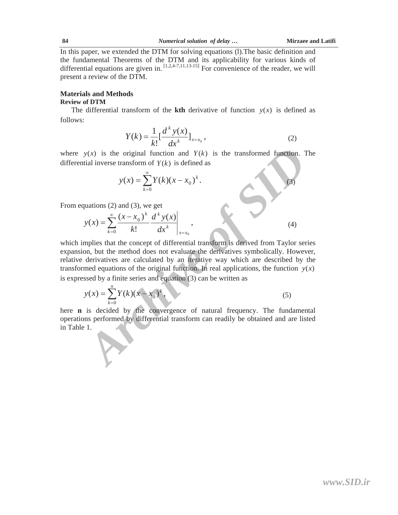In this paper, we extended the DTM for solving equations (l).The basic definition and the fundamental Theorems of the DTM and its applicability for various kinds of differential equations are given in.  $[1,2,4-7,11,13-15]$  For convenience of the reader, we will present a review of the DTM.

## **Materials and Methods**

### **Review of DTM**

The differential transform of the **kth** derivative of function  $y(x)$  is defined as follows:

$$
Y(k) = \frac{1}{k!} \left[ \frac{d^k y(x)}{dx^k} \right]_{x=x_0},
$$
 (2)

where  $y(x)$  is the original function and  $Y(k)$  is the transformed function. The differential inverse transform of  $Y(k)$  is defined as

$$
y(x) = \sum_{k=0}^{\infty} Y(k)(x - x_0)^k.
$$
 (3)

From equations (2) and (3), we get

$$
y(x) = \sum_{k=0}^{\infty} \frac{(x - x_0)^k}{k!} \frac{d^k y(x)}{dx^k} \bigg|_{x = x_0},
$$
 (4)

*y*(*x*) is the original function and  $Y(k)$  is the transformed function. 1<br>tial inverse transform of  $Y(k)$  is defined as<br> $y(x) = \sum_{k=0}^{\infty} Y(k)(x - x_0)^k$ .<br>(3)<br>quations (2) and (3), we get<br> $y(x) = \sum_{k=0}^{\infty} \frac{(x - x_0)^k}{k!} \frac{d^k$ which implies that the concept of differential transform is derived from Taylor series expansion, but the method does not evaluate the derivatives symbolically. However, relative derivatives are calculated by an iterative way which are described by the transformed equations of the original function. In real applications, the function  $y(x)$ is expressed by a finite series and equation (3) can be written as

$$
y(x) = \sum_{k=0}^{n} Y(k)(x - x_0)^k,
$$
 (5)

here **n** is decided by the convergence of natural frequency. The fundamental operations performed by differential transform can readily be obtained and are listed in Table 1.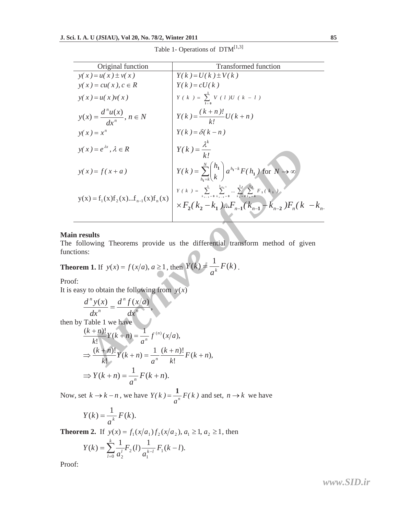|  | Table 1- Operations of $DTM^{[1,3]}$ |  |
|--|--------------------------------------|--|
|--|--------------------------------------|--|

| Original function                                                                                                                                                                       | Transformed function                                                                                                                                            |  |  |
|-----------------------------------------------------------------------------------------------------------------------------------------------------------------------------------------|-----------------------------------------------------------------------------------------------------------------------------------------------------------------|--|--|
| $y(x) = u(x) \pm v(x)$                                                                                                                                                                  | $Y(k) = U(k) \pm V(k)$                                                                                                                                          |  |  |
| $y(x) = cu(x), c \in R$                                                                                                                                                                 | $Y(k) = cU(k)$                                                                                                                                                  |  |  |
| $y(x) = u(x) v(x)$                                                                                                                                                                      | $Y(k) = \sum_{k=0}^{k} V(l)U(k-l)$                                                                                                                              |  |  |
| $y(x) = \frac{d^n u(x)}{dx^n}, n \in N$                                                                                                                                                 | $Y(k) = \frac{(k+n)!}{k!}U(k+n)$                                                                                                                                |  |  |
| $y(x) = x^n$                                                                                                                                                                            | $Y(k) = \delta(k - n)$                                                                                                                                          |  |  |
| $y(x) = e^{\lambda x}, \lambda \in R$                                                                                                                                                   | $Y(k) = \frac{\lambda^k}{k!}$                                                                                                                                   |  |  |
| $y(x) = f(x + a)$                                                                                                                                                                       | $Y(k) = \sum_{k=1}^{N} {h_1 \choose k} a^{h_1-k} F(h_1)$ for $N \to \infty$                                                                                     |  |  |
| $y(x) = f_1(x)f_2(x)f_{n-1}(x)f_n(x)$                                                                                                                                                   | $Y(k) = \sum_{k=1}^{k} \sum_{l=0}^{k_{n-1}} \dots \sum_{k=0}^{k} \sum_{l=0}^{k} F_1(k)$<br>$\times F_2(k_2 - k_1)  F_{n-1}(k_{n-1} - k_{n-2}) F_n(k - k_{n-1})$ |  |  |
| n results<br>following Theorems provide us the differential transform method of given<br>ions:<br><b>orem 1.</b> If $y(x) = f(x/a), a \ge 1$ , then $Y(k) = \frac{1}{a^k} F(k)$ .<br>f۰ |                                                                                                                                                                 |  |  |
| easy to obtain the following from $y(x)$                                                                                                                                                |                                                                                                                                                                 |  |  |
| $\frac{d^n y(x)}{dx^n} = \frac{d^n f(x/a)}{dx^n},$                                                                                                                                      |                                                                                                                                                                 |  |  |
| by Table 1 we have<br>$\frac{(k+n)!}{k!}Y(k+n) = \frac{1}{a^n}f^{(n)}(x/a),$                                                                                                            |                                                                                                                                                                 |  |  |
| $\Rightarrow \frac{(k+n)!}{k!}Y(k+n) = \frac{1}{a^n} \frac{(k+n)!}{k!}F(k+n),$                                                                                                          |                                                                                                                                                                 |  |  |

#### **Main results**

The following Theorems provide us the differential transform method of given functions:

**Theorem 1.** If 
$$
y(x) = f(x/a)
$$
,  $a \ge 1$ , then  $Y(k) = \frac{1}{a^k} F(k)$ .

Proof:

It is easy to obtain the following from  $y(x)$ 

$$
\frac{d^n y(x)}{dx^n} = \frac{d^n f(x/a)}{dx^n},
$$
  
then by Table 1 we have  

$$
\frac{(k+n)!}{k!} Y(k+n) = \frac{1}{a^n} f^{(n)}(x/a),
$$

$$
\Rightarrow \frac{(k+n)!}{k!} Y(k+n) = \frac{1}{a^n} \frac{(k+n)!}{k!} F(k+n),
$$

$$
\Rightarrow Y(k+n) = \frac{1}{a^n} F(k+n).
$$

Now, set  $k \to k-n$ , we have  $Y(k) = \frac{1}{k}F(k)$  $Y(k) = \frac{1}{a^n} F(k)$  and set,  $n \to k$  we have

$$
Y(k) = \frac{1}{a^k} F(k).
$$

**Theorem 2.** If  $y(x) = f_1(x/a_1)f_2(x/a_2), a_1 \ge 1, a_2 \ge 1$ , then

$$
Y(k) = \sum_{l=0}^{k} \frac{1}{a_2^l} F_2(l) \frac{1}{a_1^{k-l}} F_1(k-l).
$$

Proof:

*<www.SID.ir>*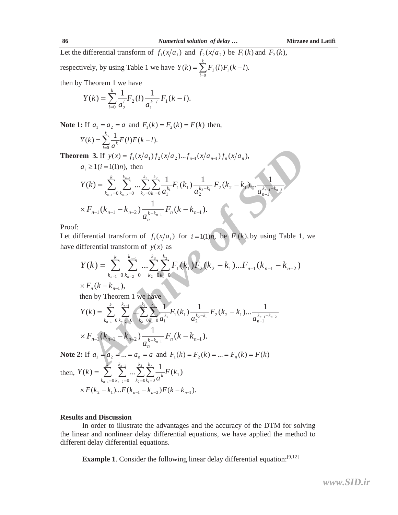Let the differential transform of  $f_1(x/a_1)$  and  $f_2(x/a_2)$  be  $F_1(k)$  and  $F_2(k)$ , respectively, by using Table 1 we have  $Y(k) = \sum F_2(l)F_1(k-l)$ .  $\sum_{l=0}^{k} F_2(l) F_1$  $=\sum_{k=0}^{k} F_{2}(l)F_{1}(k$ *l*  $Y(k) = \sum F_2(l)F_1(k-l)$ 

then by Theorem 1 we have

$$
Y(k) = \sum_{l=0}^{k} \frac{1}{a_2^l} F_2(l) \frac{1}{a_1^{k-l}} F_1(k-l).
$$

**Note 1:** If  $a_1 = a_2 = a$  and  $F_1(k) = F_2(k) = F(k)$  then,

$$
Y(k) = \sum_{l=0}^{k} \frac{1}{a^k} F(l) F(k-l).
$$

**m 3.** If  $y(x) = f_1(x/a_1) f_2(x/a_2)...f_{n-1}(x/a_{n-1}) f_n(x/a_n)$ <br>  $F_i \ge 1 (i = 1(1)n)$ , then<br>  $f(k) = \sum_{k_{n-1}=0}^{k} \sum_{k_{n-2}=0}^{k_{n-1}} \sum_{k_{n-2}=k_{n-1}}^{k_2} \sum_{k_{n-1}=k_{n-1}}^{k_3} \sum_{k_{n-1}=k_{n-1}}^{k_4} \sum_{k_{n-1}=k_{n-2}}^{k_5} \frac{1}{a_{n-1}^{k_{n-1}}} F_1(k_1) \$ **Theorem 3.** If  $y(x) = f_1(x/a_1) f_2(x/a_2)...f_{n-1} (x/a_{n-1}) f_n(x/a_n)$ ,  $a_i \ge 1$  (*i* = 1(1)*n*), then  $a_{n-1}^{k_1-1-k_{n-2}} = 0$   $k_2 = 0$   $k_1 = 0$   $a_1^{k_1}$   $a_2^{k_2-k_1}$   $a_{n-1}^{k_2-k_1}$ 1 2 2  $a_1^{k_1}$   $a_2^{k_2-k_1}$   $a_3^{k_2-k_1}$   $a_{n-1}^{k_n}$ 2 $n_2 - n_1$ 2  $1^{n_1}$ 0  $k_{n-2}$ =0  $k_2$ =0 $k_1$ =0  $u_1$  $\lambda(k) = \sum_{k_{n-1}=0}^{k} \sum_{k_{n-2}=0}^{k_{n-1}} ... \sum_{k_2=0}^{k_3} \sum_{k_1=0}^{k_2} \frac{1}{a_1^{k_1}} F_1(k_1) \frac{1}{a_2^{k_2-k_1}} F_2(k_2-k_1) ... \frac{1}{a_{n-1}^{k_{n-1}-k_{n-1}}}$  $\overline{a}$  $\overline{a}$ L Ľ,  $=\sum_{k_{n-1}=0}^{\kappa}\sum_{k_{n-2}=0}^{\kappa_{n-1}}...\sum_{k_2=0}^{\kappa_3}\sum_{k_1=0}^{\kappa_2}\frac{1}{a_1^{k_1}}F_1(k_1)\frac{1}{a_2^{k_2-k_1}}F_2(k_2-k_1)... \frac{1}{a_{n-1}^{k_{n-1}-k_n}}$ *n n*  $k_{n-1}$ – $k$ *n*  $k_2 - k$ *k k k k k k k*  $\sum_{k_1=0}^{\infty} a_1^{k_1-1} \binom{n_1}{2} a_2^{k_2-k_1-2} \binom{n_2}{2} \binom{n_1}{2} \cdots a_n$  $F_2(k_2 - k)$ *a kF a kY*  $\times F_{n-1}(k_{n-1} - k_{n-2}) \frac{1}{a^{k-k_{n-1}}} F_n(k - k_{n-1}).$ *n*  $\sum_{n=1}^{\infty} (k_{n-1} - k_{n-2}) \frac{1}{k-k_{n-1}} F_n(k-k)$  $F_{n-1}(k_{n-1} - k_{n-2}) \frac{1}{a_n^{k-k_n}}$ 

Proof:

Let differential transform of  $f_i(x/a_i)$  for  $i = 1(1)n$ , be  $F_i(k)$ , by using Table 1, we have differential transform of  $y(x)$  as

$$
Y(k) = \sum_{k_{n-1}=0}^{k} \sum_{k_{n-2}=0}^{k_{n-1}} \dots \sum_{k_2=0}^{k_3} \sum_{k_1=0}^{k_2} F_1(k_1) F_2(k_2 - k_1) \dots F_{n-1}(k_{n-1} - k_{n-2})
$$
  
\n
$$
\times F_n(k - k_{n-1}),
$$
  
\nthen by Theorem 1, we have

then by Theorem 1 we have 
$$
\overline{a}
$$

$$
Y(k) = \sum_{k_{n-1}=0}^{k} \sum_{k_{n-2}=0}^{k_{n-1}} \cdots \sum_{k_{2}=0}^{k_{3}} \sum_{i=0}^{k_{2}} \frac{1}{a_{1}^{k_{1}}} F_{1}(k_{1}) \frac{1}{a_{2}^{k_{2}-k_{1}}} F_{2}(k_{2}-k_{1}) \cdots \frac{1}{a_{n-1}^{k_{n-1}-k_{n-2}}} \times F_{n-1}(k_{n-1}-k_{n-2}) \frac{1}{a_{n}^{k-k_{n-1}}} F_{n}(k-k_{n-1}).
$$

**Note 2:** If  $a_1 = a_2 = ... = a_n = a$  and  $F_1(k) = F_2(k) = ... = F_n(k) = F(k)$ 

then, 
$$
Y(k) = \sum_{k_{n-1}=0}^{k} \sum_{k_{n-2}=0}^{k_{n-1}} \dots \sum_{k_2=0}^{k_3} \sum_{k_1=0}^{k_2} \frac{1}{a^k} F(k_1)
$$
  
  $\times F(k_2 - k_1) \dots F(k_{n-1} - k_{n-2}) F(k - k_{n-1}).$ 

#### **Results and Discussion**

In order to illustrate the advantages and the accuracy of the DTM for solving the linear and nonlinear delay differential equations, we have applied the method to different delay differential equations.

**Example 1**. Consider the following linear delay differential equation:<sup>[9,12]</sup>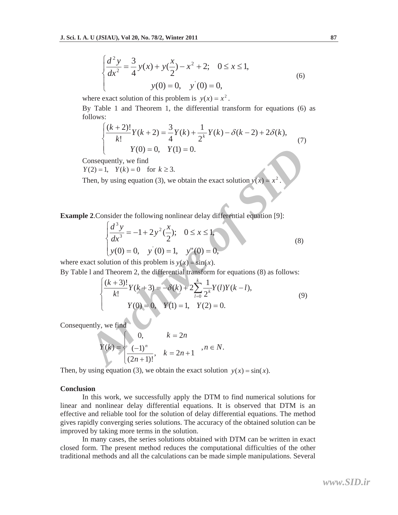$$
\begin{cases} \frac{d^2 y}{dx^2} = \frac{3}{4} y(x) + y(\frac{x}{2}) - x^2 + 2; & 0 \le x \le 1, \\ y(0) = 0, & y'(0) = 0, \end{cases}
$$
(6)

where exact solution of this problem is  $y(x) = x^2$ .

By Table 1 and Theorem 1, the differential transform for equations (6) as follows:

$$
\begin{cases} \frac{(k+2)!}{k!} Y(k+2) = \frac{3}{4} Y(k) + \frac{1}{2^k} Y(k) - \delta(k-2) + 2\delta(k), \\ Y(0) = 0, \quad Y(1) = 0. \end{cases} (7)
$$

Consequently, we find

 $Y(2) = 1$ ,  $Y(k) = 0$  for  $k \ge 3$ .

Then, by using equation (3), we obtain the exact solution  $y(x) = x$ 

**Example 2**.Consider the following nonlinear delay differential equation [9]:

$$
\begin{cases}\n\frac{d^3 y}{dx^3} = -1 + 2y^2(\frac{x}{2}); & 0 \le x \le 1, \\
y(0) = 0, & y'(0) = 1, & y''(0) = 0,\n\end{cases}
$$
\n(8)

where exact solution of this problem is  $y(x) = sin(x)$ . By Table l and Theorem 2, the differential transform for equations (8) as follows:

$$
Y(0) = 0, Y(1) = 0.
$$
  
\nConsequently, we find  
\n $Y(2) = 1, Y(k) = 0$  for  $k \ge 3$ .  
\nThen, by using equation (3), we obtain the exact solution  $y(x) = x^2$ .  
\nWe 2. Consider the following nonlinear delay differential equation [9]:  
\n
$$
\begin{cases}\n\frac{d^3y}{dx^3} = -1 + 2y^2(\frac{x}{2}); & 0 \le x \le 1, \\
y(0) = 0, y(0) = 1, y''(0) = 0,\n\end{cases}
$$
  
\n
$$
x \text{ and Theorem 2, the differential transform for equations (8) as follows:\n
$$
\begin{cases}\n\frac{(k+3)!}{k!}Y(k+3) = -\delta(k) + 2\sum_{i=0}^k \frac{1}{2^k}Y(i)Y(k-i), \\
Y(0) = 0, Y(1) = 1, Y(2) = 0.\n\end{cases}
$$
  
\n
$$
Y(k) = \begin{cases}\n0, & k = 2n \\
(-1)^n, & k = 2n + 1, n \in N.\n\end{cases}
$$
$$

Consequently, we find

$$
Y(k) = \begin{cases} 0, & k = 2n \\ (-1)^n \\ \frac{(-1)^n}{(2n+1)!}, & k = 2n+1 \end{cases}
$$
,  $n \in N$ .

Then, by using equation (3), we obtain the exact solution  $y(x) = \sin(x)$ .

### **Conclusion**

In this work, we successfully apply the DTM to find numerical solutions for linear and nonlinear delay differential equations. It is observed that DTM is an effective and reliable tool for the solution of delay differential equations. The method gives rapidly converging series solutions. The accuracy of the obtained solution can be improved by taking more terms in the solution.

In many cases, the series solutions obtained with DTM can be written in exact closed form. The present method reduces the computational difficulties of the other traditional methods and all the calculations can be made simple manipulations. Several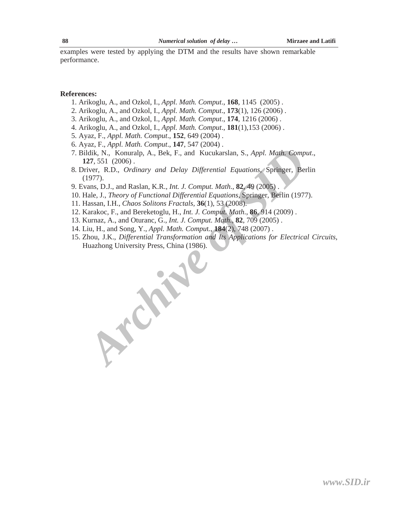examples were tested by applying the DTM and the results have shown remarkable performance.

#### **References:**

- 1. Arikoglu, A., and Ozkol, I., *Appl. Math. Comput*., **168**, 1145 (2005) .
- 2. Arikoglu, A., and Ozkol, I., *Appl. Math. Comput*., **173**(1), 126 (2006) .
- 3. Arikoglu, A., and Ozkol, I., *Appl. Math. Comput*., **174**, 1216 (2006) .
- 4. Arikoglu, A., and Ozkol, I., *Appl. Math. Comput*., **181**(1),153 (2006) .
- 5. Ayaz, F., *Appl. Math. Comput*., **152**, 649 (2004) .
- 6. Ayaz, F., *Appl. Math. Comput*., **147**, 547 (2004) .
- 7. Bildik, N., Konuralp, A., Bek, F., and Kucukarslan, S., *Appl. Math. Comput*., **127**, 551 (2006) .
- 8. Driver, R.D., *Ordinary and Delay Differential Equations*, Springer, Berlin (1977).
- 9. Evans, D.J., and Raslan, K.R., *Int. J. Comput. Math*., **82**, 49 (2005) .
- 10. Hale, J., *Theory of Functional Differential Equations*, Springer, Berlin (1977).
- 11. Hassan, I.H., *Chaos Solitons Fractals,* **36**(1), 53 (2008).

*Archive of SID*

- 12. Karakoc, F., and Bereketoglu, H., *Int. J. Comput. Math*., **86**, 914 (2009) .
- 13. Kurnaz, A., and Oturanc, G., *Int. J. Comput. Math*., **82**, 709 (2005) .
- 14. Liu, H., and Song, Y., *Appl. Math. Compu*t., **184**(2), 748 (2007) .
- 15. Zhou, J.K., *Differential Transformation and Its Applications for Electrical Circuits*, Huazhong University Press, China (1986).